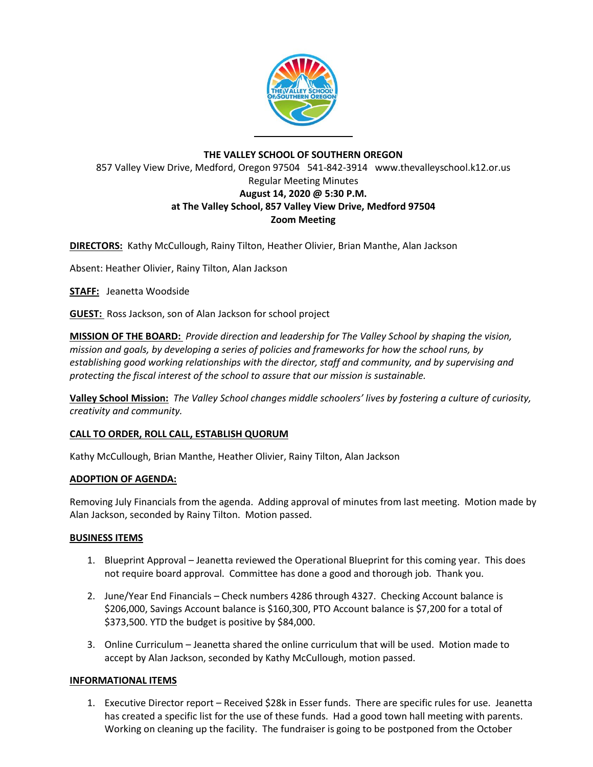

## **THE VALLEY SCHOOL OF SOUTHERN OREGON** 857 Valley View Drive, Medford, Oregon 97504 541-842-3914 www.thevalleyschool.k12.or.us Regular Meeting Minutes **August 14, 2020 @ 5:30 P.M. at The Valley School, 857 Valley View Drive, Medford 97504 Zoom Meeting**

**DIRECTORS:** Kathy McCullough, Rainy Tilton, Heather Olivier, Brian Manthe, Alan Jackson

Absent: Heather Olivier, Rainy Tilton, Alan Jackson

**STAFF:** Jeanetta Woodside

**GUEST:** Ross Jackson, son of Alan Jackson for school project

**MISSION OF THE BOARD:** *Provide direction and leadership for The Valley School by shaping the vision, mission and goals, by developing a series of policies and frameworks for how the school runs, by establishing good working relationships with the director, staff and community, and by supervising and protecting the fiscal interest of the school to assure that our mission is sustainable.*

**Valley School Mission:** *The Valley School changes middle schoolers' lives by fostering a culture of curiosity, creativity and community.*

### **CALL TO ORDER, ROLL CALL, ESTABLISH QUORUM**

Kathy McCullough, Brian Manthe, Heather Olivier, Rainy Tilton, Alan Jackson

### **ADOPTION OF AGENDA:**

Removing July Financials from the agenda. Adding approval of minutes from last meeting. Motion made by Alan Jackson, seconded by Rainy Tilton. Motion passed.

### **BUSINESS ITEMS**

- 1. Blueprint Approval Jeanetta reviewed the Operational Blueprint for this coming year. This does not require board approval. Committee has done a good and thorough job. Thank you.
- 2. June/Year End Financials Check numbers 4286 through 4327. Checking Account balance is \$206,000, Savings Account balance is \$160,300, PTO Account balance is \$7,200 for a total of \$373,500. YTD the budget is positive by \$84,000.
- 3. Online Curriculum Jeanetta shared the online curriculum that will be used. Motion made to accept by Alan Jackson, seconded by Kathy McCullough, motion passed.

### **INFORMATIONAL ITEMS**

1. Executive Director report – Received \$28k in Esser funds. There are specific rules for use. Jeanetta has created a specific list for the use of these funds. Had a good town hall meeting with parents. Working on cleaning up the facility. The fundraiser is going to be postponed from the October